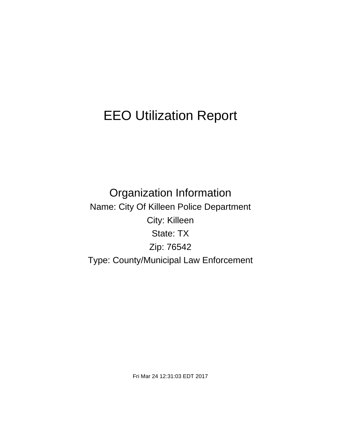# EEO Utilization Report

Organization Information Name: City Of Killeen Police Department City: Killeen State: TX Zip: 76542 Type: County/Municipal Law Enforcement

Fri Mar 24 12:31:03 EDT 2017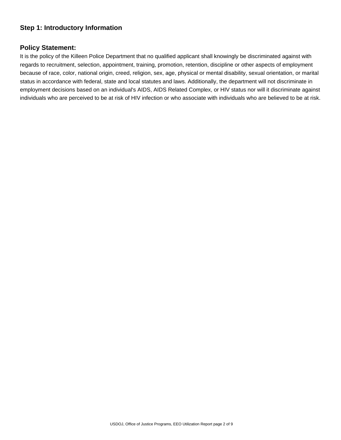# **Step 1: Introductory Information**

### **Policy Statement:**

It is the policy of the Killeen Police Department that no qualified applicant shall knowingly be discriminated against with regards to recruitment, selection, appointment, training, promotion, retention, discipline or other aspects of employment because of race, color, national origin, creed, religion, sex, age, physical or mental disability, sexual orientation, or marital status in accordance with federal, state and local statutes and laws. Additionally, the department will not discriminate in employment decisions based on an individual's AIDS, AIDS Related Complex, or HIV status nor will it discriminate against individuals who are perceived to be at risk of HIV infection or who associate with individuals who are believed to be at risk.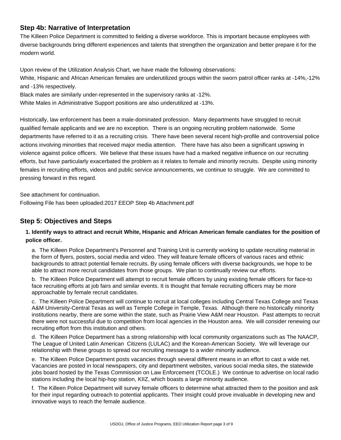# **Step 4b: Narrative of Interpretation**

The Killeen Police Department is committed to fielding a diverse workforce. This is important because employees with diverse backgrounds bring different experiences and talents that strengthen the organization and better prepare it for the modern world.

Upon review of the Utilization Analysis Chart, we have made the following observations:

White, Hispanic and African American females are underutilized groups within the sworn patrol officer ranks at -14%,-12% and -13% respectively.

Black males are similarly under-represented in the supervisory ranks at -12%.

White Males in Administrative Support positions are also underutilized at -13%.

Historically, law enforcement has been a male-dominated profession. Many departments have struggled to recruit qualified female applicants and we are no exception. There is an ongoing recruiting problem nationwide. Some departments have referred to it as a recruiting crisis. There have been several recent high-profile and controversial police actions involving minorities that received major media attention. There have has also been a significant upswing in violence against police officers. We believe that these issues have had a marked negative influence on our recruiting efforts, but have particularly exacerbated the problem as it relates to female and minority recruits. Despite using minority females in recruiting efforts, videos and public service announcements, we continue to struggle. We are committed to pressing forward in this regard.

See attachment for continuation.

Following File has been uploaded:2017 EEOP Step 4b Attachment.pdf

# **Step 5: Objectives and Steps**

### **1. Identify ways to attract and recruit White, Hispanic and African American female candiates for the position of police officer.**

a. The Killeen Police Department's Personnel and Training Unit is currently working to update recruiting material in the form of flyers, posters, social media and video. They will feature female officers of various races and ethnic backgrounds to attract potential female recruits. By using female officers with diverse backgrounds, we hope to be able to attract more recruit candidates from those groups. We plan to continually review our efforts.

b. The Killeen Police Department will attempt to recruit female officers by using existing female officers for face-to face recruiting efforts at job fairs and similar events. It is thought that female recruiting officers may be more approachable by female recruit candidates.

c. The Killeen Police Department will continue to recruit at local colleges including Central Texas College and Texas A&M University-Central Texas as well as Temple College in Temple, Texas. Although there no historically minority institutions nearby, there are some within the state, such as Prairie View A&M near Houston. Past attempts to recruit there were not successful due to competition from local agencies in the Houston area. We will consider renewing our recruiting effort from this institution and others.

d. The Killeen Police Department has a strong relationship with local community organizations such as The NAACP, The League of United Latin American Citizens (LULAC) and the Korean-American Society. We will leverage our relationship with these groups to spread our recruiting message to a wider minority audience.

e. The Killeen Police Department posts vacancies through several different means in an effort to cast a wide net. Vacancies are posted in local newspapers, city and department websites, various social media sites, the statewide jobs board hosted by the Texas Commission on Law Enforcement (TCOLE.) We continue to advertise on local radio stations including the local hip-hop station, KIIZ, which boasts a large minority audience.

f. The Killeen Police Department will survey female officers to determine what attracted them to the position and ask for their input regarding outreach to potential applicants. Their insight could prove invaluable in developing new and innovative ways to reach the female audience.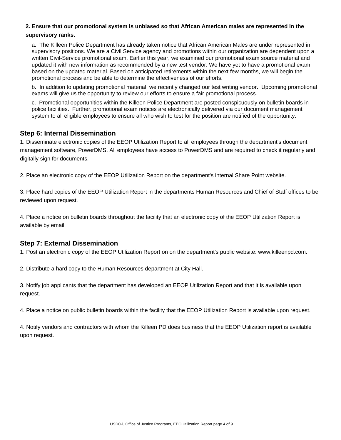#### **2. Ensure that our promotional system is unbiased so that African American males are represented in the supervisory ranks.**

a. The Killeen Police Department has already taken notice that African American Males are under represented in supervisory positions. We are a Civil Service agency and promotions within our organization are dependent upon a written Civil-Service promotional exam. Earlier this year, we examined our promotional exam source material and updated it with new information as recommended by a new test vendor. We have yet to have a promotional exam based on the updated material. Based on anticipated retirements within the next few months, we will begin the promotional process and be able to determine the effectiveness of our efforts.

b. In addition to updating promotional material, we recently changed our test writing vendor. Upcoming promotional exams will give us the opportunity to review our efforts to ensure a fair promotional process.

c. Promotional opportunities within the Killeen Police Department are posted conspicuously on bulletin boards in police facilities. Further, promotional exam notices are electronically delivered via our document management system to all eligible employees to ensure all who wish to test for the position are notified of the opportunity.

# **Step 6: Internal Dissemination**

1. Disseminate electronic copies of the EEOP Utilization Report to all employees through the department's document management software, PowerDMS. All employees have access to PowerDMS and are required to check it regularly and digitally sign for documents.

2. Place an electronic copy of the EEOP Utilization Report on the department's internal Share Point website.

3. Place hard copies of the EEOP Utilization Report in the departments Human Resources and Chief of Staff offices to be reviewed upon request.

4. Place a notice on bulletin boards throughout the facility that an electronic copy of the EEOP Utilization Report is available by email.

# **Step 7: External Dissemination**

1. Post an electronic copy of the EEOP Utilization Report on on the department's public website: www.killeenpd.com.

2. Distribute a hard copy to the Human Resources department at City Hall.

3. Notify job applicants that the department has developed an EEOP Utilization Report and that it is available upon request.

4. Place a notice on public bulletin boards within the facility that the EEOP Utilization Report is available upon request.

4. Notify vendors and contractors with whom the Killeen PD does business that the EEOP Utilization report is available upon request.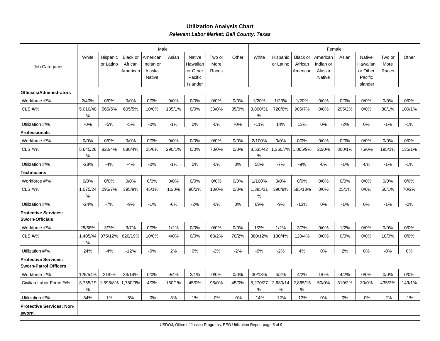### **Utilization Analysis ChartRelevant Labor Market: Bell County, Texas**

|                                                             |               |                       |                                 |                                           | Male   |                                           |                         |       |               |                       |                                 |                                           | Female |                                           |                         |        |
|-------------------------------------------------------------|---------------|-----------------------|---------------------------------|-------------------------------------------|--------|-------------------------------------------|-------------------------|-------|---------------|-----------------------|---------------------------------|-------------------------------------------|--------|-------------------------------------------|-------------------------|--------|
| Job Categories                                              | White         | Hispanic<br>or Latino | Black or<br>African<br>American | American<br>Indian or<br>Alaska<br>Native | Asian  | Native<br>Hawaiian<br>or Other<br>Pacific | Two or<br>More<br>Races | Other | White         | Hispanic<br>or Latino | Black or<br>African<br>American | American<br>Indian or<br>Alaska<br>Native | Asian  | Native<br>Hawaiian<br>or Other<br>Pacific | Two or<br>More<br>Races | Other  |
|                                                             |               |                       |                                 |                                           |        | Islander                                  |                         |       |               |                       |                                 |                                           |        | Islander                                  |                         |        |
| Officials/Administrators                                    |               |                       |                                 |                                           |        |                                           |                         |       |               |                       |                                 |                                           |        |                                           |                         |        |
| Workforce #/%                                               | 2/40%         | 0/0%                  | 0/0%                            | 0/0%                                      | 0/0%   | 0/0%                                      | 0/0%                    | 0/0%  | 1/20%         | 1/20%                 | 1/20%                           | 0/0%                                      | 0/0%   | 0/0%                                      | 0/0%                    | 0/0%   |
| CLS #/%                                                     | 5,010/40<br>% | 565/5%                | 605/5%                          | 10/0%                                     | 135/1% | 0/0%                                      | 30/0%                   | 35/0% | 3,890/31<br>% | 720/6%                | 905/7%                          | 0/0%                                      | 295/2% | 0/0%                                      | 80/1%                   | 100/1% |
| Utilization #/%                                             | $-0%$         | $-5%$                 | $-5%$                           | $-0\%$                                    | $-1%$  | 0%                                        | $-0%$                   | $-0%$ | $-11%$        | 14%                   | 13%                             | 0%                                        | $-2%$  | 0%                                        | $-1%$                   | $-1%$  |
| <b>Professionals</b>                                        |               |                       |                                 |                                           |        |                                           |                         |       |               |                       |                                 |                                           |        |                                           |                         |        |
| Workforce #/%                                               | 0/0%          | 0/0%                  | 0/0%                            | 0/0%                                      | 0/0%   | 0/0%                                      | 0/0%                    | 0/0%  | 2/100%        | 0/0%                  | 0/0%                            | 0/0%                                      | 0/0%   | 0/0%                                      | 0/0%                    | 0/0%   |
| CLS #/%                                                     | 5,645/28<br>% | 820/4%                | 880/4%                          | 25/0%                                     | 290/1% | 0/0%                                      | 70/0%                   | 0/0%  | 8,535/42<br>% | ,360/7%               | ,865/9%                         | 20/0%                                     | 300/1% | 75/0%                                     | 195/1%                  | 135/1% |
| Utilization #/%                                             | $-28%$        | $-4%$                 | $-4%$                           | $-0%$                                     | $-1%$  | 0%                                        | $-0%$                   | 0%    | 58%           | $-7%$                 | $-9%$                           | $-0%$                                     | $-1%$  | $-0%$                                     | $-1%$                   | $-1%$  |
| Technicians                                                 |               |                       |                                 |                                           |        |                                           |                         |       |               |                       |                                 |                                           |        |                                           |                         |        |
| Workforce #/%                                               | 0/0%          | 0/0%                  | 0/0%                            | 0/0%                                      | 0/0%   | 0/0%                                      | 0/0%                    | 0/0%  | 1/100%        | 0/0%                  | 0/0%                            | 0/0%                                      | 0/0%   | 0/0%                                      | 0/0%                    | 0/0%   |
| CLS #/%                                                     | 1,075/24<br>% | 295/7%                | 395/9%                          | 45/1%                                     | 10/0%  | 90/2%                                     | 10/0%                   | 0/0%  | 1,385/31<br>% | 390/9%                | 585/13%                         | 0/0%                                      | 25/1%  | 0/0%                                      | 50/1%                   | 70/2%  |
| Utilization #/%                                             | $-24%$        | $-7%$                 | $-9%$                           | $-1%$                                     | $-0%$  | $-2%$                                     | $-0%$                   | 0%    | 69%           | $-9%$                 | $-13%$                          | 0%                                        | $-1%$  | 0%                                        | $-1%$                   | $-2%$  |
| <b>Protective Services:</b><br><b>Sworn-Officials</b>       |               |                       |                                 |                                           |        |                                           |                         |       |               |                       |                                 |                                           |        |                                           |                         |        |
| Workforce #/%                                               | 28/68%        | 3/7%                  | 3/7%                            | 0/0%                                      | 1/2%   | 0/0%                                      | 0/0%                    | 0/0%  | 1/2%          | 1/2%                  | 3/7%                            | 0/0%                                      | 1/2%   | 0/0%                                      | 0/0%                    | 0/0%   |
| CLS #/%                                                     | 1,405/44<br>℅ | 375/12%               | 620/19%                         | 10/0%                                     | 4/0%   | 0/0%                                      | 60/2%                   | 70/2% | 380/12%       | 130/4%                | 120/4%                          | 0/0%                                      | 0/0%   | 0/0%                                      | 10/0%                   | 0/0%   |
| Utilization #/%                                             | 24%           | $-4%$                 | $-12%$                          | $-0%$                                     | 2%     | 0%                                        | $-2%$                   | $-2%$ | $-9%$         | $-2%$                 | 4%                              | 0%                                        | 2%     | 0%                                        | $-0%$                   | 0%     |
| <b>Protective Services:</b><br><b>Sworn-Patrol Officers</b> |               |                       |                                 |                                           |        |                                           |                         |       |               |                       |                                 |                                           |        |                                           |                         |        |
| Workforce #/%                                               | 125/54%       | 21/9%                 | 33/14%                          | 0/0%                                      | 9/4%   | 2/1%                                      | 0/0%                    | 0/0%  | 30/13%        | 4/2%                  | 4/2%                            | 1/0%                                      | 4/2%   | 0/0%                                      | 0/0%                    | 0/0%   |
| Civilian Labor Force #/%                                    | 3,755/19<br>% | 1,595/8%              | 1,780/9%                        | 4/0%                                      | 160/1% | 45/0%                                     | 95/0%                   | 45/0% | 5,270/27<br>% | 2,680/14<br>%         | 2,865/15<br>%                   | 50/0%                                     | 310/2% | 30/0%                                     | 435/2%                  | 149/1% |
| Utilization #/%                                             | 34%           | $1\%$                 | 5%                              | $-0%$                                     | 3%     | 1%                                        | $-0%$                   | $-0%$ | $-14%$        | $-12%$                | $-13%$                          | 0%                                        | 0%     | $-0\%$                                    | $-2%$                   | $-1\%$ |
| <b>Protective Services: Non-</b><br>sworn                   |               |                       |                                 |                                           |        |                                           |                         |       |               |                       |                                 |                                           |        |                                           |                         |        |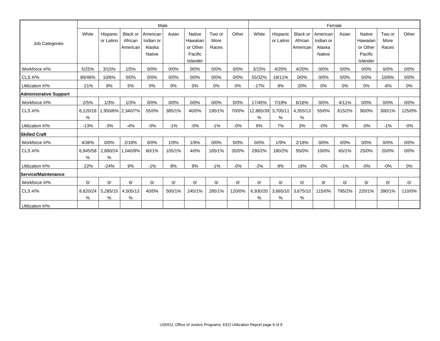|                        |               |                       |                            |                       | Male   |                                        |                |        |                |                       |                            |                       | Female |                                 |                |        |
|------------------------|---------------|-----------------------|----------------------------|-----------------------|--------|----------------------------------------|----------------|--------|----------------|-----------------------|----------------------------|-----------------------|--------|---------------------------------|----------------|--------|
| Job Categories         | White         | Hispanic<br>or Latino | <b>Black or</b><br>African | American<br>Indian or | Asian  | <b>Native</b><br>Hawaiian              | Two or<br>More | Other  | White          | Hispanic<br>or Latino | <b>Black or</b><br>African | American<br>Indian or | Asian  | <b>Native</b><br>Hawaiian       | Two or<br>More | Other  |
|                        |               |                       | American                   | Alaska<br>Native      |        | or Other<br>Pacific<br><b>Islander</b> | Races          |        |                |                       | American                   | Alaska<br>Native      |        | or Other<br>Pacific<br>Islander | Races          |        |
| Workforce #/%          | 5/25%         | 3/15%                 | 1/5%                       | 0/0%                  | 0/0%   | 0/0%                                   | 0/0%           | 0/0%   | 3/15%          | 4/20%                 | 4/20%                      | 0/0%                  | 0/0%   | 0/0%                            | 0/0%           | 0/0%   |
| <b>CLS #/%</b>         | 80/46%        | 10/6%                 | 0/0%                       | 0/0%                  | 0/0%   | 0/0%                                   | 0/0%           | 0/0%   | 55/32%         | 19/11%                | 0/0%                       | 0/0%                  | 0/0%   | 0/0%                            | 10/6%          | 0/0%   |
| Utilization #/%        | $-21%$        | 9%                    | 5%                         | 0%                    | 0%     | 0%                                     | 0%             | 0%     | $-17%$         | 9%                    | 20%                        | 0%                    | 0%     | 0%                              | $-6%$          | $0\%$  |
| Administrative Support |               |                       |                            |                       |        |                                        |                |        |                |                       |                            |                       |        |                                 |                |        |
| Workforce #/%          | 2/5%          | 1/3%                  | 1/3%                       | 0/0%                  | 0/0%   | 0/0%                                   | 0/0%           | 0/0%   | 17/45%         | 7/18%                 | 6/16%                      | 0/0%                  | 4/11%  | 0/0%                            | 0/0%           | 0/0%   |
| CLS #/%                | 6,120/18<br>% |                       | .950/6% 2,340/7%           | 55/0%                 | 385/1% | 40/0%                                  | 195/1%         | 70/0%  | 12,885/39<br>% | 3,705/11<br>%         | 4,355/13<br>%              | 55/0%                 | 615/2% | 90/0%                           | 300/1%         | 125/0% |
| Utilization #/%        | $-13%$        | $-3%$                 | $-4%$                      | $-0%$                 | $-1%$  | $-0%$                                  | $-1%$          | $-0%$  | 6%             | 7%                    | 3%                         | $-0%$                 | 9%     | $-0%$                           | $-1%$          | $-0%$  |
| <b>Skilled Craft</b>   |               |                       |                            |                       |        |                                        |                |        |                |                       |                            |                       |        |                                 |                |        |
| Workforce #/%          | 4/36%         | 0/0%                  | 2/18%                      | 0/0%                  | 1/9%   | 1/9%                                   | 0/0%           | 0/0%   | 0/0%           | 1/9%                  | 2/18%                      | 0/0%                  | 0/0%   | 0/0%                            | 0/0%           | 0/0%   |
| CLS #/%                | 6,945/58<br>% | 2,880/24<br>%         | 040/9%                     | 60/1%                 | 105/1% | 4/0%                                   | 165/1%         | 35/0%  | 290/2%         | 180/2%                | 55/0%                      | 10/0%                 | 65/1%  | 25/0%                           | 20/0%          | 0/0%   |
| Utilization #/%        | $-22%$        | $-24%$                | 9%                         | $-1%$                 | 8%     | 9%                                     | $-1%$          | $-0%$  | $-2%$          | 8%                    | 18%                        | $-0%$                 | $-1%$  | $-0%$                           | $-0%$          | 0%     |
| Service/Maintenance    |               |                       |                            |                       |        |                                        |                |        |                |                       |                            |                       |        |                                 |                |        |
| Workforce #/%          | 0/            | 0/                    | 0/                         | 0/                    | 0/     | 0/                                     | 0/             | 0/     | 0/             | 0/                    | 0/                         | 0/                    | 0/     | 0/                              | 0/             | 0/     |
| <b>CLS #/%</b>         | 8,620/24<br>% | 5,285/15<br>%         | 4,505/13<br>%              | 40/0%                 | 500/1% | 245/1%                                 | 285/1%         | 120/0% | 6,930/20<br>%  | 3,665/10<br>%         | 3,675/10<br>%              | 115/0%                | 795/2% | 220/1%                          | 390/1%         | 110/0% |
| Utilization #/%        |               |                       |                            |                       |        |                                        |                |        |                |                       |                            |                       |        |                                 |                |        |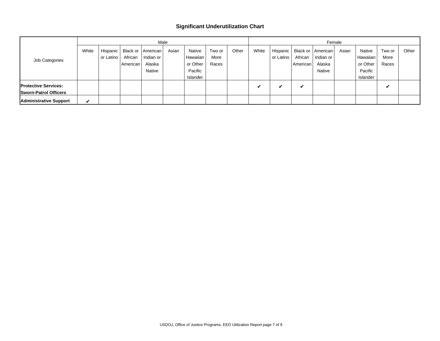#### **Significant Underutilization Chart**

|                               |       | Male      |          |           |       |          |        |       |       |           | Female   |                     |       |          |        |       |  |  |
|-------------------------------|-------|-----------|----------|-----------|-------|----------|--------|-------|-------|-----------|----------|---------------------|-------|----------|--------|-------|--|--|
|                               | White | Hispanic  | Black or | American  | Asian | Native   | Two or | Other | White | Hispanic  |          | Black or   American | Asian | Native   | Two or | Other |  |  |
| Job Categories                |       | or Latino | African  | Indian or |       | Hawaiian | More   |       |       | or Latino | African  | Indian or           |       | Hawaiian | More   |       |  |  |
|                               |       |           | American | Alaska    |       | or Other | Races  |       |       |           | American | Alaska              |       | or Other | Races  |       |  |  |
|                               |       |           |          | Native    |       | Pacific  |        |       |       |           |          | <b>Native</b>       |       | Pacific  |        |       |  |  |
|                               |       |           |          |           |       | Islander |        |       |       |           |          |                     |       | Islander |        |       |  |  |
| <b>Protective Services:</b>   |       |           |          |           |       |          |        |       | v     | v         | v        |                     |       |          | v      |       |  |  |
| <b>Sworn-Patrol Officers</b>  |       |           |          |           |       |          |        |       |       |           |          |                     |       |          |        |       |  |  |
| <b>Administrative Support</b> | ✔     |           |          |           |       |          |        |       |       |           |          |                     |       |          |        |       |  |  |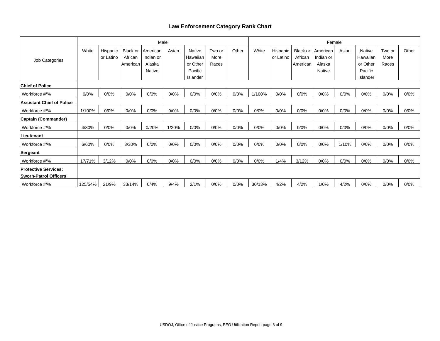### **Law Enforcement Category Rank Chart**

|                                                               |         |                       |                            |                       | Male  |                    |                |       |        |                       |                     |                       | Female |                           |                |         |  |  |  |
|---------------------------------------------------------------|---------|-----------------------|----------------------------|-----------------------|-------|--------------------|----------------|-------|--------|-----------------------|---------------------|-----------------------|--------|---------------------------|----------------|---------|--|--|--|
|                                                               | White   | Hispanic<br>or Latino | <b>Black or</b><br>African | American<br>Indian or | Asian | Native<br>Hawaiian | Two or<br>More | Other | White  | Hispanic<br>or Latino | Black or<br>African | American<br>Indian or | Asian  | <b>Native</b><br>Hawaiian | Two or<br>More | Other   |  |  |  |
| Job Categories                                                |         |                       | American                   | Alaska                |       | or Other           | Races          |       |        |                       | American            | Alaska                |        | or Other                  | Races          |         |  |  |  |
|                                                               |         |                       |                            | Native                |       | Pacific            |                |       |        |                       |                     | Native                |        | Pacific                   |                |         |  |  |  |
|                                                               |         |                       |                            |                       |       | Islander           |                |       |        |                       |                     |                       |        | Islander                  |                |         |  |  |  |
| <b>Chief of Police</b>                                        |         |                       |                            |                       |       |                    |                |       |        |                       |                     |                       |        |                           |                |         |  |  |  |
| Workforce #/%                                                 | 0/0%    | 0/0%                  | 0/0%                       | 0/0%                  | 0/0%  | 0/0%               | 0/0%           | 0/0%  | 1/100% | 0/0%                  | 0/0%                | 0/0%                  | 0/0%   | 0/0%                      | 0/0%           | 0/0%    |  |  |  |
| <b>Assistant Chief of Police</b>                              |         |                       |                            |                       |       |                    |                |       |        |                       |                     |                       |        |                           |                |         |  |  |  |
| Workforce #/%                                                 | 1/100%  | 0/0%                  | 0/0%                       | 0/0%                  | 0/0%  | 0/0%               | 0/0%           | 0/0%  | 0/0%   | 0/0%                  | 0/0%                | 0/0%                  | 0/0%   | 0/0%                      | 0/0%           | 0/0%    |  |  |  |
| Captain (Commander)                                           |         |                       |                            |                       |       |                    |                |       |        |                       |                     |                       |        |                           |                |         |  |  |  |
| Workforce #/%                                                 | 4/80%   | 0/0%                  | 0/0%                       | 0/20%                 | 1/20% | 0/0%               | 0/0%           | 0/0%  | 0/0%   | 0/0%                  | 0/0%                | 0/0%                  | 0/0%   | 0/0%                      | 0/0%           | 0/0%    |  |  |  |
| ILieutenant                                                   |         |                       |                            |                       |       |                    |                |       |        |                       |                     |                       |        |                           |                |         |  |  |  |
| Workforce #/%                                                 | 6/60%   | 0/0%                  | 3/30%                      | 0/0%                  | 0/0%  | 0/0%               | 0/0%           | 0/0%  | 0/0%   | 0/0%                  | 0/0%                | 0/0%                  | 1/10%  | 0/0%                      | 0/0%           | 0/0%    |  |  |  |
| Sergeant                                                      |         |                       |                            |                       |       |                    |                |       |        |                       |                     |                       |        |                           |                |         |  |  |  |
| Workforce #/%                                                 | 17/71%  | 3/12%                 | 0/0%                       | 0/0%                  | 0/0%  | 0/0%               | 0/0%           | 0/0%  | 0/0%   | 1/4%                  | 3/12%               | 0/0%                  | 0/0%   | 0/0%                      | 0/0%           | 0/0%    |  |  |  |
| <b>IProtective Services:</b><br><b>ISworn-Patrol Officers</b> |         |                       |                            |                       |       |                    |                |       |        |                       |                     |                       |        |                           |                |         |  |  |  |
| Workforce #/%                                                 | 125/54% | 21/9%                 | 33/14%                     | 0/4%                  | 9/4%  | 2/1%               | 0/0%           | 0/0%  | 30/13% | 4/2%                  | 4/2%                | 1/0%                  | 4/2%   | 0/0%                      | 0/0%           | $0/0\%$ |  |  |  |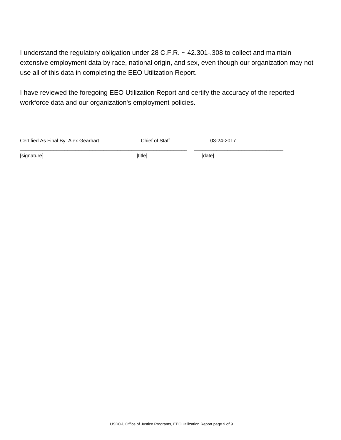I understand the regulatory obligation under 28 C.F.R. ~ 42.301-.308 to collect and maintain extensive employment data by race, national origin, and sex, even though our organization may not use all of this data in completing the EEO Utilization Report.

I have reviewed the foregoing EEO Utilization Report and certify the accuracy of the reported workforce data and our organization's employment policies.

| Certified As Final By: Alex Gearhart | Chief of Staff | 03-24-2017 |  |
|--------------------------------------|----------------|------------|--|
| [signature]                          | [title]        | [date]     |  |